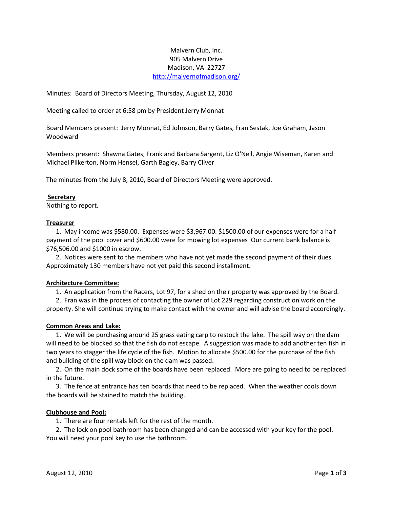# Malvern Club, Inc. 905 Malvern Drive Madison, VA 22727 <http://malvernofmadison.org/>

Minutes: Board of Directors Meeting, Thursday, August 12, 2010

Meeting called to order at 6:58 pm by President Jerry Monnat

Board Members present: Jerry Monnat, Ed Johnson, Barry Gates, Fran Sestak, Joe Graham, Jason Woodward

Members present: Shawna Gates, Frank and Barbara Sargent, Liz O'Neil, Angie Wiseman, Karen and Michael Pilkerton, Norm Hensel, Garth Bagley, Barry Cliver

The minutes from the July 8, 2010, Board of Directors Meeting were approved.

#### **Secretary**

Nothing to report.

#### **Treasurer**

 1. May income was \$580.00. Expenses were \$3,967.00. \$1500.00 of our expenses were for a half payment of the pool cover and \$600.00 were for mowing lot expenses Our current bank balance is \$76,506.00 and \$1000 in escrow.

 2. Notices were sent to the members who have not yet made the second payment of their dues. Approximately 130 members have not yet paid this second installment.

## **Architecture Committee:**

1. An application from the Racers, Lot 97, for a shed on their property was approved by the Board.

 2. Fran was in the process of contacting the owner of Lot 229 regarding construction work on the property. She will continue trying to make contact with the owner and will advise the board accordingly.

## **Common Areas and Lake:**

 1. We will be purchasing around 25 grass eating carp to restock the lake. The spill way on the dam will need to be blocked so that the fish do not escape. A suggestion was made to add another ten fish in two years to stagger the life cycle of the fish. Motion to allocate \$500.00 for the purchase of the fish and building of the spill way block on the dam was passed.

 2. On the main dock some of the boards have been replaced. More are going to need to be replaced in the future.

 3. The fence at entrance has ten boards that need to be replaced. When the weather cools down the boards will be stained to match the building.

## **Clubhouse and Pool:**

1. There are four rentals left for the rest of the month.

 2. The lock on pool bathroom has been changed and can be accessed with your key for the pool. You will need your pool key to use the bathroom.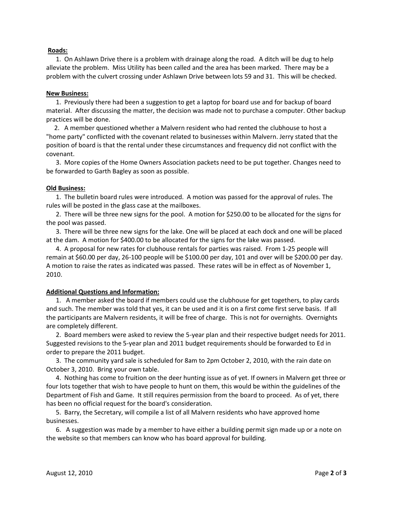### **Roads:**

 1. On Ashlawn Drive there is a problem with drainage along the road. A ditch will be dug to help alleviate the problem. Miss Utility has been called and the area has been marked. There may be a problem with the culvert crossing under Ashlawn Drive between lots 59 and 31. This will be checked.

### **New Business:**

 1. Previously there had been a suggestion to get a laptop for board use and for backup of board material. After discussing the matter, the decision was made not to purchase a computer. Other backup practices will be done.

 2. A member questioned whether a Malvern resident who had rented the clubhouse to host a "home party" conflicted with the covenant related to businesses within Malvern. Jerry stated that the position of board is that the rental under these circumstances and frequency did not conflict with the covenant.

 3. More copies of the Home Owners Association packets need to be put together. Changes need to be forwarded to Garth Bagley as soon as possible.

### **Old Business:**

 1. The bulletin board rules were introduced. A motion was passed for the approval of rules. The rules will be posted in the glass case at the mailboxes.

 2. There will be three new signs for the pool. A motion for \$250.00 to be allocated for the signs for the pool was passed.

 3. There will be three new signs for the lake. One will be placed at each dock and one will be placed at the dam. A motion for \$400.00 to be allocated for the signs for the lake was passed.

 4. A proposal for new rates for clubhouse rentals for parties was raised. From 1-25 people will remain at \$60.00 per day, 26-100 people will be \$100.00 per day, 101 and over will be \$200.00 per day. A motion to raise the rates as indicated was passed. These rates will be in effect as of November 1, 2010.

#### **Additional Questions and Information:**

 1. A member asked the board if members could use the clubhouse for get togethers, to play cards and such. The member was told that yes, it can be used and it is on a first come first serve basis. If all the participants are Malvern residents, it will be free of charge. This is not for overnights. Overnights are completely different.

 2. Board members were asked to review the 5-year plan and their respective budget needs for 2011. Suggested revisions to the 5-year plan and 2011 budget requirements should be forwarded to Ed in order to prepare the 2011 budget.

 3. The community yard sale is scheduled for 8am to 2pm October 2, 2010, with the rain date on October 3, 2010. Bring your own table.

 4. Nothing has come to fruition on the deer hunting issue as of yet. If owners in Malvern get three or four lots together that wish to have people to hunt on them, this would be within the guidelines of the Department of Fish and Game. It still requires permission from the board to proceed. As of yet, there has been no official request for the board's consideration.

 5. Barry, the Secretary, will compile a list of all Malvern residents who have approved home businesses.

 6. A suggestion was made by a member to have either a building permit sign made up or a note on the website so that members can know who has board approval for building.